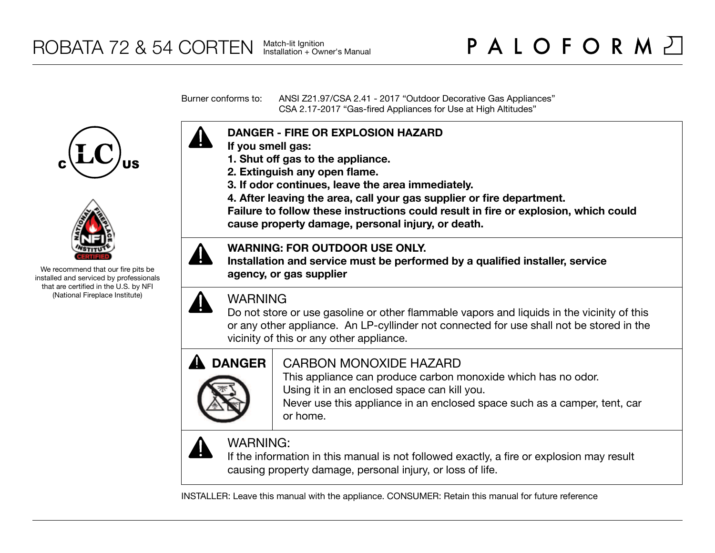Burner conforms to: ANSI Z21.97/CSA 2.41 - 2017 "Outdoor Decorative Gas Appliances" CSA 2.17-2017 "Gas-fired Appliances for Use at High Altitudes"





We recommend that our fire pits be installed and serviced by professionals that are certified in the U.S. by NFI (National Fireplace Institute)



- **If you smell gas:**
- **1. Shut off gas to the appliance.**
- **2. Extinguish any open flame.**
- **3. If odor continues, leave the area immediately.**
- **4. After leaving the area, call your gas supplier or fire department.**

**Failure to follow these instructions could result in fire or explosion, which could cause property damage, personal injury, or death.**

### **WARNING: FOR OUTDOOR USE ONLY.**

**Installation and service must be performed by a qualified installer, service agency, or gas supplier**



## WARNING

Do not store or use gasoline or other flammable vapors and liquids in the vicinity of this or any other appliance. An LP-cyllinder not connected for use shall not be stored in the vicinity of this or any other appliance.



## CARBON MONOXIDE HAZARD

This appliance can produce carbon monoxide which has no odor. Using it in an enclosed space can kill you.

Never use this appliance in an enclosed space such as a camper, tent, car or home.



# WARNING:

If the information in this manual is not followed exactly, a fire or explosion may result causing property damage, personal injury, or loss of life.

INSTALLER: Leave this manual with the appliance. CONSUMER: Retain this manual for future reference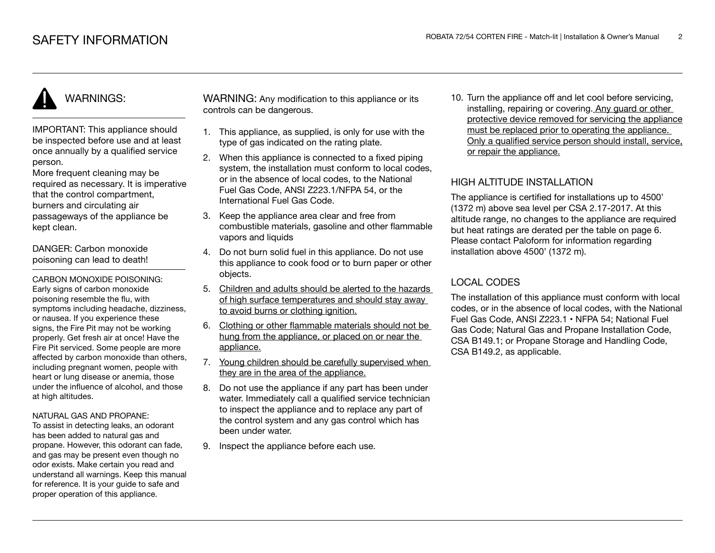# WARNINGS:

IMPORTANT: This appliance should be inspected before use and at least once annually by a qualified service person.

More frequent cleaning may be required as necessary. It is imperative that the control compartment, burners and circulating air passageways of the appliance be kept clean.

DANGER: Carbon monoxide poisoning can lead to death!

CARBON MONOXIDE POISONING: Early signs of carbon monoxide poisoning resemble the flu, with symptoms including headache, dizziness, or nausea. If you experience these signs, the Fire Pit may not be working properly. Get fresh air at once! Have the Fire Pit serviced. Some people are more affected by carbon monoxide than others, including pregnant women, people with heart or lung disease or anemia, those under the influence of alcohol, and those at high altitudes.

#### NATURAL GAS AND PROPANE:

To assist in detecting leaks, an odorant has been added to natural gas and propane. However, this odorant can fade, and gas may be present even though no odor exists. Make certain you read and understand all warnings. Keep this manual for reference. It is your guide to safe and proper operation of this appliance.

WARNING: Any modification to this appliance or its controls can be dangerous.

- 1. This appliance, as supplied, is only for use with the type of gas indicated on the rating plate.
- 2. When this appliance is connected to a fixed piping system, the installation must conform to local codes. or in the absence of local codes, to the National Fuel Gas Code, ANSI Z223.1/NFPA 54, or the International Fuel Gas Code.
- 3. Keep the appliance area clear and free from combustible materials, gasoline and other flammable vapors and liquids
- 4. Do not burn solid fuel in this appliance. Do not use this appliance to cook food or to burn paper or other objects.
- 5. Children and adults should be alerted to the hazards of high surface temperatures and should stay away to avoid burns or clothing ignition.
- 6. Clothing or other flammable materials should not be hung from the appliance, or placed on or near the appliance.
- 7. Young children should be carefully supervised when they are in the area of the appliance.
- 8. Do not use the appliance if any part has been under water. Immediately call a qualified service technician to inspect the appliance and to replace any part of the control system and any gas control which has been under water.
- 9. Inspect the appliance before each use.

10. Turn the appliance off and let cool before servicing, installing, repairing or covering. Any guard or other protective device removed for servicing the appliance must be replaced prior to operating the appliance. Only a qualified service person should install, service, or repair the appliance.

### HIGH ALTITUDE INSTALLATION

The appliance is certified for installations up to 4500' (1372 m) above sea level per CSA 2.17-2017. At this altitude range, no changes to the appliance are required but heat ratings are derated per the table on page 6. Please contact Paloform for information regarding installation above 4500' (1372 m).

### LOCAL CODES

The installation of this appliance must conform with local codes, or in the absence of local codes, with the National Fuel Gas Code, ANSI Z223.1 • NFPA 54; National Fuel Gas Code; Natural Gas and Propane Installation Code, CSA B149.1; or Propane Storage and Handling Code, CSA B149.2, as applicable.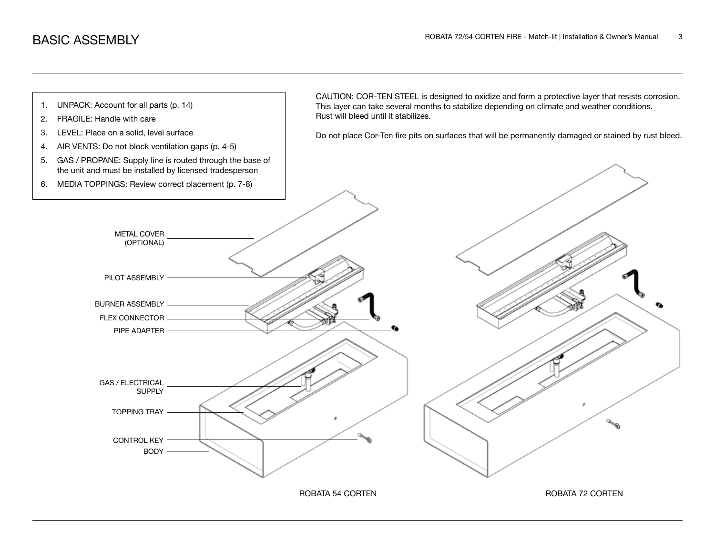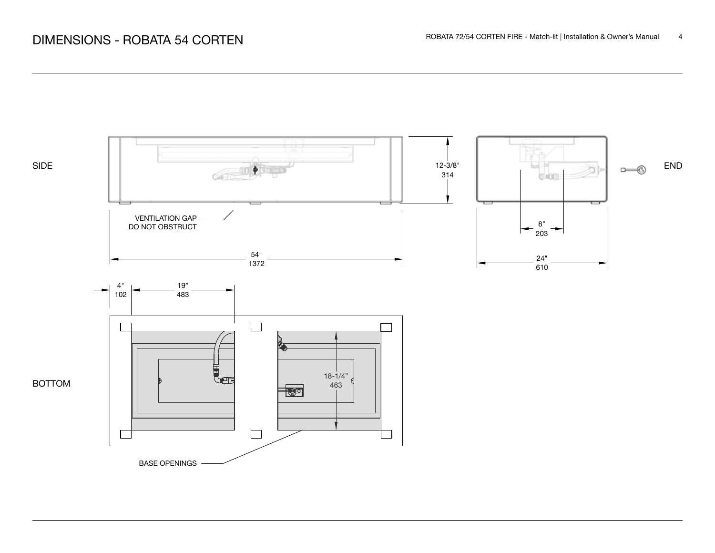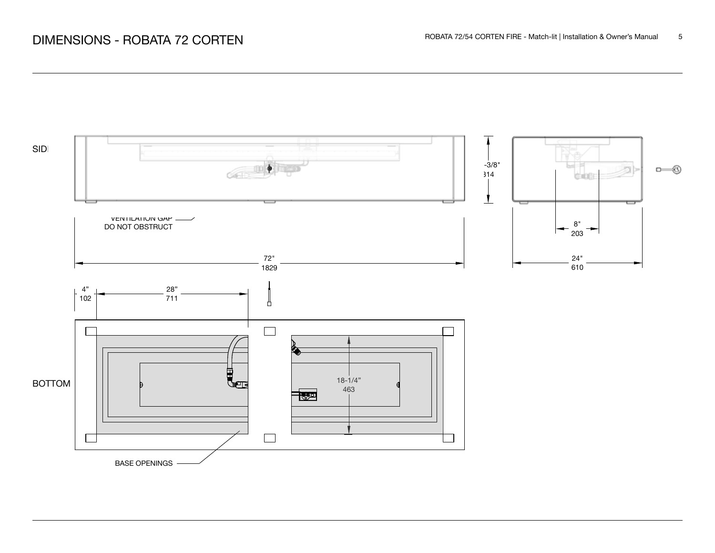# ROBATA 72 CORTEN FIRE - Match-lit | Installation & Owner's Manual 5

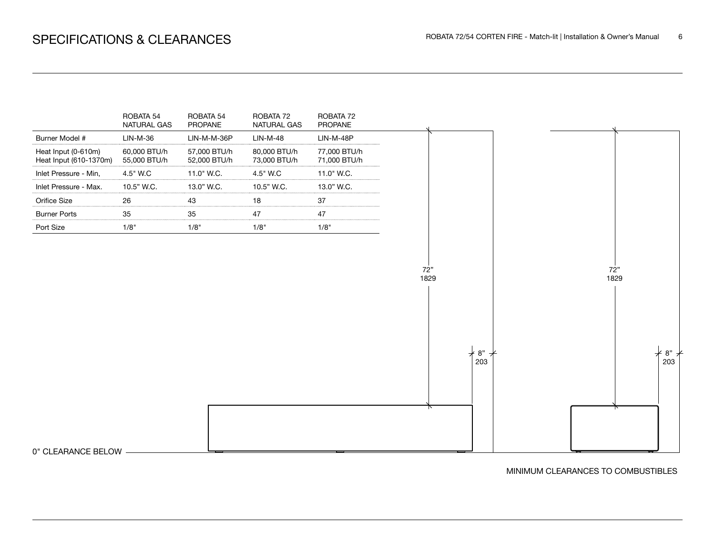

0" CLEARANCE BELOW

MINIMUM CLEARANCES TO COMBUSTIBLES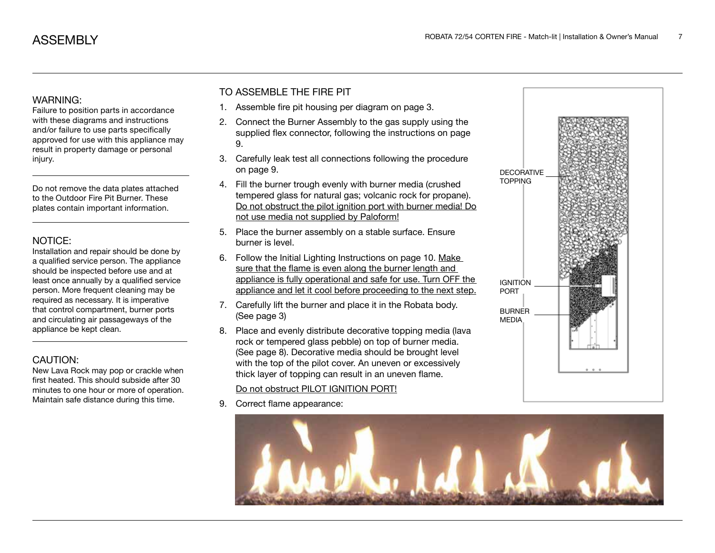### WARNING:

Failure to position parts in accordance with these diagrams and instructions and/or failure to use parts specifically approved for use with this appliance may result in property damage or personal injury.

Do not remove the data plates attached to the Outdoor Fire Pit Burner. These plates contain important information.

### NOTICE:

Installation and repair should be done by a qualified service person. The appliance should be inspected before use and at least once annually by a qualified service person. More frequent cleaning may be required as necessary. It is imperative that control compartment, burner ports and circulating air passageways of the appliance be kept clean.

### CAUTION:

New Lava Rock may pop or crackle when first heated. This should subside after 30 minutes to one hour or more of operation. Maintain safe distance during this time.

### TO ASSEMBLE THE FIRE PIT

- 1. Assemble fire pit housing per diagram on page 3.
- 2. Connect the Burner Assembly to the gas supply using the supplied flex connector, following the instructions on page 9.
- 3. Carefully leak test all connections following the procedure on page 9.
- 4. Fill the burner trough evenly with burner media (crushed tempered glass for natural gas; volcanic rock for propane). Do not obstruct the pilot ignition port with burner media! Do not use media not supplied by Paloform!
- 5. Place the burner assembly on a stable surface. Ensure burner is level.
- 6. Follow the Initial Lighting Instructions on page 10. Make sure that the flame is even along the burner length and appliance is fully operational and safe for use. Turn OFF the appliance and let it cool before proceeding to the next step.
- 7. Carefully lift the burner and place it in the Robata body. (See page 3)
- 8. Place and evenly distribute decorative topping media (lava rock or tempered glass pebble) on top of burner media. (See page 8). Decorative media should be brought level with the top of the pilot cover. An uneven or excessively thick layer of topping can result in an uneven flame.

### Do not obstruct PILOT IGNITION PORT!

9. Correct flame appearance:



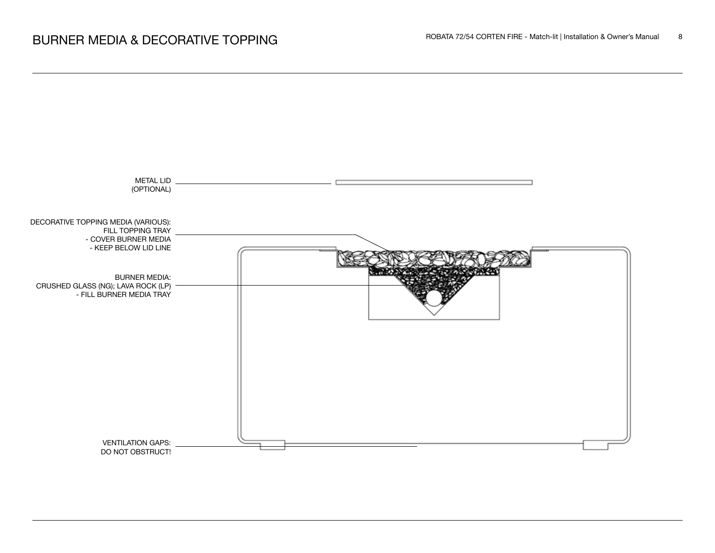

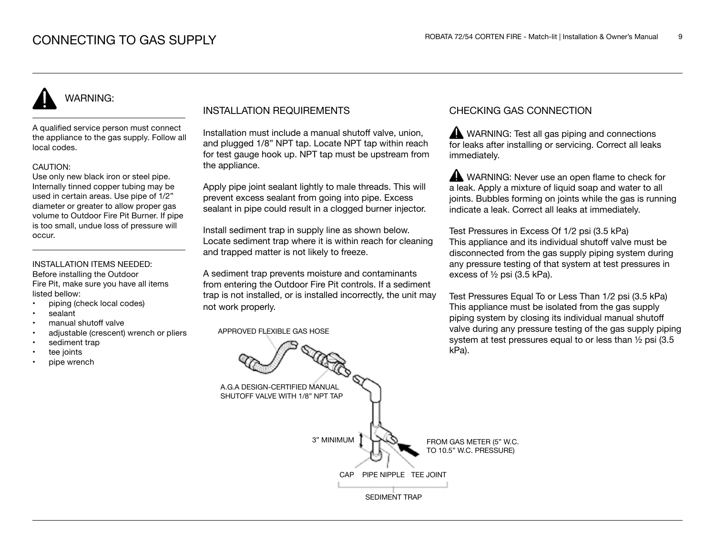# WARNING:

A qualified service person must connect the appliance to the gas supply. Follow all local codes.

### CAUTION:

Use only new black iron or steel pipe. Internally tinned copper tubing may be used in certain areas. Use pipe of 1/2" diameter or greater to allow proper gas volume to Outdoor Fire Pit Burner. If pipe is too small, undue loss of pressure will occur.

#### INSTALLATION ITEMS NEEDED: Before installing the Outdoor

Fire Pit, make sure you have all items listed bellow:

- piping (check local codes)
- sealant
- manual shutoff valve
- adjustable (crescent) wrench or pliers
- sediment trap
- tee joints
- pipe wrench

### INSTALLATION REQUIREMENTS

Installation must include a manual shutoff valve, union, and plugged 1/8" NPT tap. Locate NPT tap within reach for test gauge hook up. NPT tap must be upstream from the appliance.

Apply pipe joint sealant lightly to male threads. This will prevent excess sealant from going into pipe. Excess sealant in pipe could result in a clogged burner injector.

Install sediment trap in supply line as shown below. Locate sediment trap where it is within reach for cleaning and trapped matter is not likely to freeze.

A sediment trap prevents moisture and contaminants from entering the Outdoor Fire Pit controls. If a sediment trap is not installed, or is installed incorrectly, the unit may not work properly.

APPROVED FLEXIBLE GAS HOSE

### CHECKING GAS CONNECTION

WARNING: Test all gas piping and connections for leaks after installing or servicing. Correct all leaks immediately.

WARNING: Never use an open flame to check for a leak. Apply a mixture of liquid soap and water to all joints. Bubbles forming on joints while the gas is running indicate a leak. Correct all leaks at immediately.

Test Pressures in Excess Of 1/2 psi (3.5 kPa) This appliance and its individual shutoff valve must be disconnected from the gas supply piping system during any pressure testing of that system at test pressures in excess of ½ psi (3.5 kPa).

Test Pressures Equal To or Less Than 1/2 psi (3.5 kPa) This appliance must be isolated from the gas supply piping system by closing its individual manual shutoff valve during any pressure testing of the gas supply piping system at test pressures equal to or less than ½ psi (3.5 kPa).

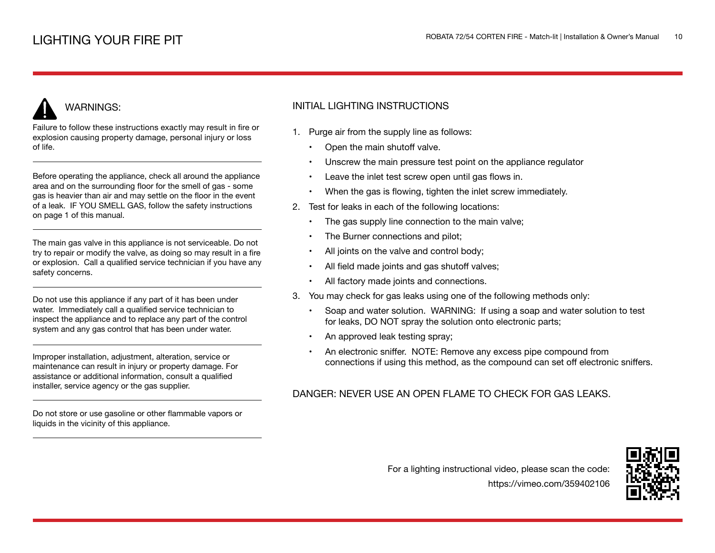# WARNINGS:

Failure to follow these instructions exactly may result in fire or explosion causing property damage, personal injury or loss of life.

Before operating the appliance, check all around the appliance area and on the surrounding floor for the smell of gas - some gas is heavier than air and may settle on the floor in the event of a leak. IF YOU SMELL GAS, follow the safety instructions on page 1 of this manual.

The main gas valve in this appliance is not serviceable. Do not try to repair or modify the valve, as doing so may result in a fire or explosion. Call a qualified service technician if you have any safety concerns.

Do not use this appliance if any part of it has been under water. Immediately call a qualified service technician to inspect the appliance and to replace any part of the control system and any gas control that has been under water.

Improper installation, adjustment, alteration, service or maintenance can result in injury or property damage. For assistance or additional information, consult a qualified installer, service agency or the gas supplier.

Do not store or use gasoline or other flammable vapors or liquids in the vicinity of this appliance.

### INITIAL LIGHTING INSTRUCTIONS

- 1. Purge air from the supply line as follows:
	- Open the main shutoff valve.
	- Unscrew the main pressure test point on the appliance regulator
	- Leave the inlet test screw open until gas flows in.
	- When the gas is flowing, tighten the inlet screw immediately.
- 2. Test for leaks in each of the following locations:
	- The gas supply line connection to the main valve;
	- The Burner connections and pilot;
	- All joints on the valve and control body;
	- All field made joints and gas shutoff valves;
	- All factory made joints and connections.
- 3. You may check for gas leaks using one of the following methods only:
	- Soap and water solution. WARNING: If using a soap and water solution to test for leaks, DO NOT spray the solution onto electronic parts;
	- An approved leak testing spray;
	- An electronic sniffer. NOTE: Remove any excess pipe compound from connections if using this method, as the compound can set off electronic sniffers.

### DANGER: NEVER USE AN OPEN FLAME TO CHECK FOR GAS LEAKS.

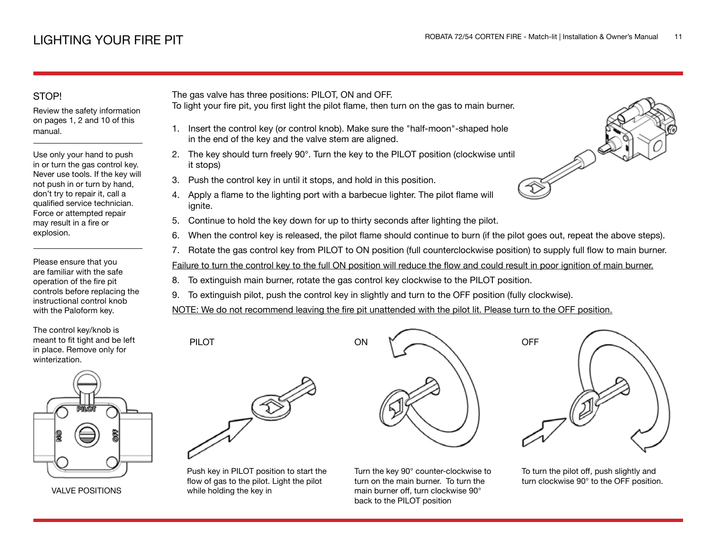### STOP!

Review the safety information on pages 1, 2 and 10 of this manual.

Use only your hand to push in or turn the gas control key. Never use tools. If the key will not push in or turn by hand, don't try to repair it, call a qualified service technician. Force or attempted repair may result in a fire or explosion.

Please ensure that you are familiar with the safe operation of the fire pit controls before replacing the instructional control knob with the Paloform key.

The control key/knob is meant to fit tight and be left in place. Remove only for winterization.



VALVE POSITIONS

The gas valve has three positions: PILOT, ON and OFF.

- To light your fire pit, you first light the pilot flame, then turn on the gas to main burner.
	- 1. Insert the control key (or control knob). Make sure the "half-moon"-shaped hole in the end of the key and the valve stem are aligned.
- 2. The key should turn freely 90°. Turn the key to the PILOT position (clockwise until it stops)
- 3. Push the control key in until it stops, and hold in this position.
- 4. Apply a flame to the lighting port with a barbecue lighter. The pilot flame will ignite.
- 5. Continue to hold the key down for up to thirty seconds after lighting the pilot.
- 6. When the control key is released, the pilot flame should continue to burn (if the pilot goes out, repeat the above steps).
- 7. Rotate the gas control key from PILOT to ON position (full counterclockwise position) to supply full flow to main burner.

Failure to turn the control key to the full ON position will reduce the flow and could result in poor ignition of main burner.

- 8. To extinguish main burner, rotate the gas control key clockwise to the PILOT position.
- 9. To extinguish pilot, push the control key in slightly and turn to the OFF position (fully clockwise).

NOTE: We do not recommend leaving the fire pit unattended with the pilot lit. Please turn to the OFF position.



PILOT

Push key in PILOT position to start the flow of gas to the pilot. Light the pilot while holding the key in



Turn the key 90° counter-clockwise to turn on the main burner. To turn the main burner off, turn clockwise 90° back to the PILOT position



To turn the pilot off, push slightly and turn clockwise 90° to the OFF position.

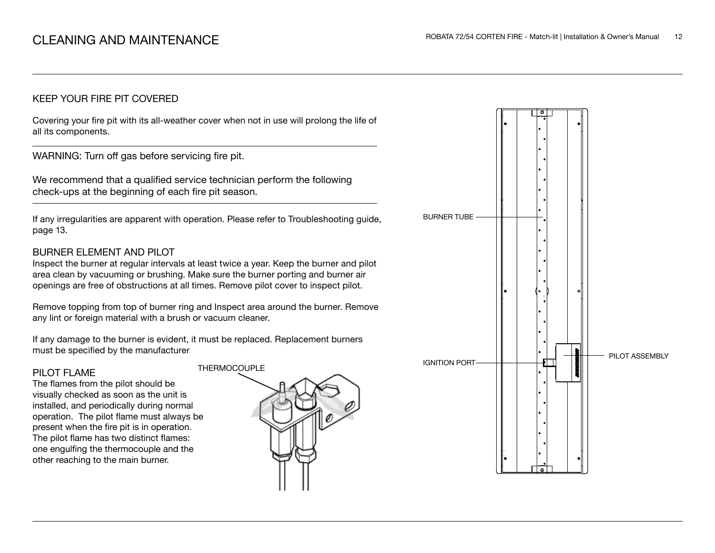### KEEP YOUR FIRE PIT COVERED

Covering your fire pit with its all-weather cover when not in use will prolong the life of all its components.

WARNING: Turn off gas before servicing fire pit.

We recommend that a qualified service technician perform the following check-ups at the beginning of each fire pit season.

If any irregularities are apparent with operation. Please refer to Troubleshooting guide, page 13.

### BURNER ELEMENT AND PILOT

Inspect the burner at regular intervals at least twice a year. Keep the burner and pilot area clean by vacuuming or brushing. Make sure the burner porting and burner air openings are free of obstructions at all times. Remove pilot cover to inspect pilot.

Remove topping from top of burner ring and Inspect area around the burner. Remove any lint or foreign material with a brush or vacuum cleaner.

If any damage to the burner is evident, it must be replaced. Replacement burners must be specified by the manufacturer

### PILOT FLAME

The flames from the pilot should be visually checked as soon as the unit is installed, and periodically during normal operation. The pilot flame must always be present when the fire pit is in operation. The pilot flame has two distinct flames: one engulfing the thermocouple and the other reaching to the main burner.



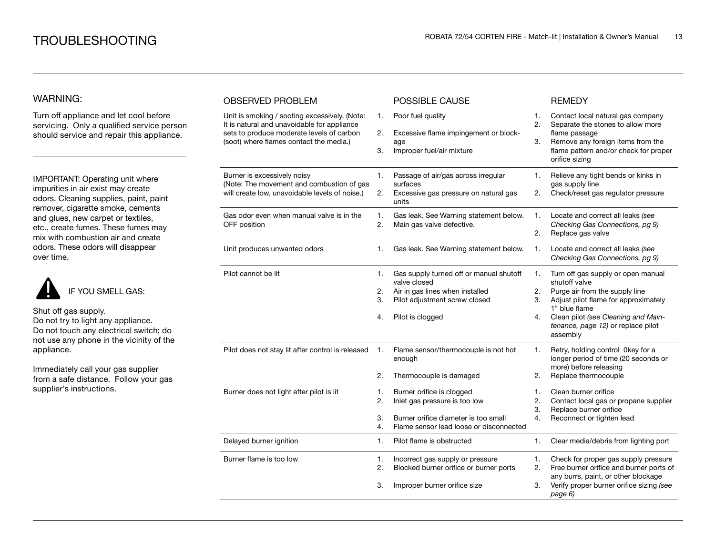### WARNING:

Turn off appliance and let cool before servicing. Only a qualified service person should service and repair this appliance.

IMPORTANT: Operating unit where impurities in air exist may create odors. Cleaning supplies, paint, paint remover, cigarette smoke, cements and glues, new carpet or textiles, etc., create fumes. These fumes may mix with combustion air and create odors. These odors will disappear over time.



Shut off gas supply. Do not try to light any appliance. Do not touch any electrical switch; do not use any phone in the vicinity of the appliance.

Immediately call your gas supplier from a safe distance. Follow your gas supplier's instructions.

| <b>OBSERVED PROBLEM</b>                                                                                                                                                              |                      | POSSIBLE CAUSE                                                                                                                                  |                      | <b>REMEDY</b>                                                                                                                                                                                                                           |
|--------------------------------------------------------------------------------------------------------------------------------------------------------------------------------------|----------------------|-------------------------------------------------------------------------------------------------------------------------------------------------|----------------------|-----------------------------------------------------------------------------------------------------------------------------------------------------------------------------------------------------------------------------------------|
| Unit is smoking / sooting excessively. (Note:<br>It is natural and unavoidable for appliance<br>sets to produce moderate levels of carbon<br>(soot) where flames contact the media.) | 1.<br>2.<br>3.       | Poor fuel quality<br>Excessive flame impingement or block-<br>age<br>Improper fuel/air mixture                                                  | 1.<br>2.<br>3.       | Contact local natural gas company<br>Separate the stones to allow more<br>flame passage<br>Remove any foreign items from the<br>flame pattern and/or check for proper<br>orifice sizing                                                 |
| Burner is excessively noisy<br>(Note: The movement and combustion of gas<br>will create low, unavoidable levels of noise.)                                                           | 1.<br>2.             | Passage of air/gas across irregular<br>surfaces<br>Excessive gas pressure on natural gas<br>units                                               | 1.<br>2.             | Relieve any tight bends or kinks in<br>gas supply line<br>Check/reset gas regulator pressure                                                                                                                                            |
| Gas odor even when manual valve is in the<br>OFF position                                                                                                                            | 1.<br>2.             | Gas leak. See Warning statement below.<br>Main gas valve defective.                                                                             | 1.<br>2.             | Locate and correct all leaks (see<br>Checking Gas Connections, pg 9)<br>Replace gas valve                                                                                                                                               |
| Unit produces unwanted odors                                                                                                                                                         | 1.                   | Gas leak. See Warning statement below.                                                                                                          | 1.                   | Locate and correct all leaks (see<br>Checking Gas Connections, pg 9)                                                                                                                                                                    |
| Pilot cannot be lit                                                                                                                                                                  | 1.<br>2.<br>3.<br>4. | Gas supply turned off or manual shutoff<br>valve closed<br>Air in gas lines when installed<br>Pilot adjustment screw closed<br>Pilot is clogged | 1.<br>2.<br>3.<br>4. | Turn off gas supply or open manual<br>shutoff valve<br>Purge air from the supply line<br>Adjust pilot flame for approximately<br>1" blue flame<br>Clean pilot (see Cleaning and Main-<br>tenance, page 12) or replace pilot<br>assembly |
| Pilot does not stay lit after control is released                                                                                                                                    | 1.<br>2.             | Flame sensor/thermocouple is not hot<br>enough<br>Thermocouple is damaged                                                                       | 1.<br>2.             | Retry, holding control 0key for a<br>longer period of time (20 seconds or<br>more) before releasing<br>Replace thermocouple                                                                                                             |
| Burner does not light after pilot is lit                                                                                                                                             | 1.<br>2.<br>3.<br>4. | Burner orifice is clogged<br>Inlet gas pressure is too low<br>Burner orifice diameter is too small<br>Flame sensor lead loose or disconnected   | 1.<br>2.<br>3.<br>4. | Clean burner orifice<br>Contact local gas or propane supplier<br>Replace burner orifice<br>Reconnect or tighten lead                                                                                                                    |
| Delayed burner ignition                                                                                                                                                              | 1.                   | Pilot flame is obstructed                                                                                                                       | 1.                   | Clear media/debris from lighting port                                                                                                                                                                                                   |
| Burner flame is too low                                                                                                                                                              | 1.<br>2.<br>3.       | Incorrect gas supply or pressure<br>Blocked burner orifice or burner ports<br>Improper burner orifice size                                      | 1.<br>2.<br>3.       | Check for proper gas supply pressure<br>Free burner orifice and burner ports of<br>any burrs, paint, or other blockage<br>Verify proper burner orifice sizing (see<br>page 6)                                                           |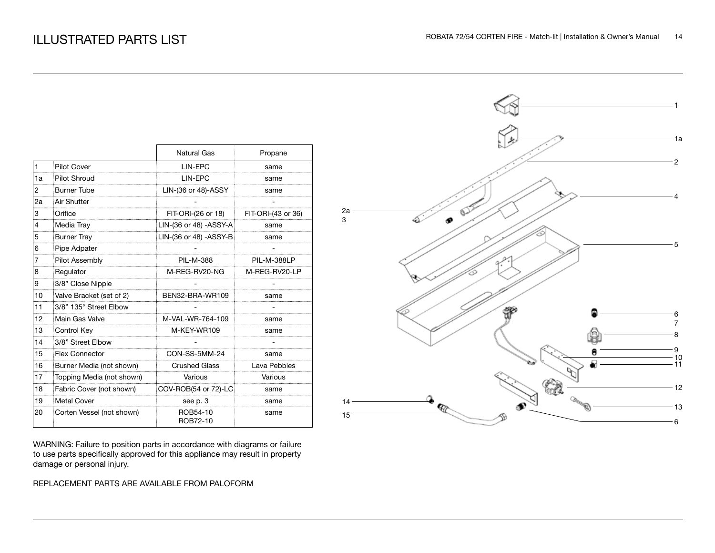|                |                           | Natural Gas             | Propane            |
|----------------|---------------------------|-------------------------|--------------------|
| $\mathbf{1}$   | <b>Pilot Cover</b>        | LIN-EPC                 | same               |
| 1a             | <b>Pilot Shroud</b>       | LIN-EPC                 | same               |
| 2              | <b>Burner Tube</b>        | LIN-(36 or 48)-ASSY     | same               |
| 2a             | Air Shutter               |                         |                    |
| 3              | Orifice                   | FIT-ORI-(26 or 18)      | FIT-ORI-(43 or 36) |
| $\overline{4}$ | Media Tray                | LIN-(36 or 48) - ASSY-A | same               |
| 5              | <b>Burner Tray</b>        | LIN-(36 or 48) - ASSY-B | same               |
| 6              | Pipe Adpater              |                         |                    |
| 7              | Pilot Assembly            | <b>PIL-M-388</b>        | PIL-M-388LP        |
| 8              | Regulator                 | M-REG-RV20-NG           | M-REG-RV20-LP      |
| 9              | 3/8" Close Nipple         |                         |                    |
| 10             | Valve Bracket (set of 2)  | BEN32-BRA-WR109         | same               |
| 11             | 3/8" 135° Street Elbow    |                         |                    |
| 12             | Main Gas Valve            | M-VAL-WR-764-109        | same               |
| 13             | Control Key               | M-KEY-WR109             | same               |
| 14             | 3/8" Street Elbow         |                         |                    |
| 15             | <b>Flex Connector</b>     | CON-SS-5MM-24           | same               |
| 16             | Burner Media (not shown)  | <b>Crushed Glass</b>    | Lava Pebbles       |
| 17             | Topping Media (not shown) | Various                 | Various            |
| 18             | Fabric Cover (not shown)  | COV-ROB(54 or 72)-LC    | same               |
| 19             | <b>Metal Cover</b>        | see p. 3                | same               |
| 20             | Corten Vessel (not shown) | ROB54-10<br>ROB72-10    | same               |

WARNING: Failure to position parts in accordance with diagrams or failure to use parts specifically approved for this appliance may result in property damage or personal injury.

### REPLACEMENT PARTS ARE AVAILABLE FROM PALOFORM